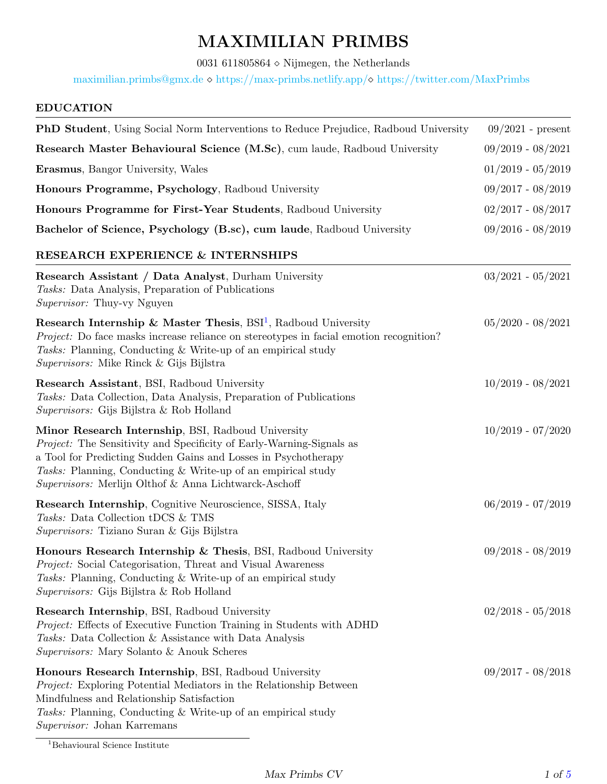# MAXIMILIAN PRIMBS

0031 611805864<br/>  $\diamond$  Nijmegen, the Netherlands

[maximilian.primbs@gmx.de](mailto:maximilian.primbs@gmx.de)  $\diamond$  <https://max-primbs.netlify.app/> $\diamond$  <https://twitter.com/MaxPrimbs>

# EDUCATION

| <b>PhD Student</b> , Using Social Norm Interventions to Reduce Prejudice, Radboud University                                                                                                                                                                                                                          | $09/2021$ - present |
|-----------------------------------------------------------------------------------------------------------------------------------------------------------------------------------------------------------------------------------------------------------------------------------------------------------------------|---------------------|
| Research Master Behavioural Science (M.Sc), cum laude, Radboud University                                                                                                                                                                                                                                             | $09/2019 - 08/2021$ |
| <b>Erasmus</b> , Bangor University, Wales                                                                                                                                                                                                                                                                             | $01/2019 - 05/2019$ |
| Honours Programme, Psychology, Radboud University                                                                                                                                                                                                                                                                     | $09/2017 - 08/2019$ |
| Honours Programme for First-Year Students, Radboud University                                                                                                                                                                                                                                                         | $02/2017 - 08/2017$ |
| Bachelor of Science, Psychology (B.sc), cum laude, Radboud University                                                                                                                                                                                                                                                 | $09/2016 - 08/2019$ |
| RESEARCH EXPERIENCE & INTERNSHIPS                                                                                                                                                                                                                                                                                     |                     |
| <b>Research Assistant / Data Analyst, Durham University</b><br>Tasks: Data Analysis, Preparation of Publications<br><i>Supervisor:</i> Thuy-vy Nguyen                                                                                                                                                                 | $03/2021 - 05/2021$ |
| Research Internship & Master Thesis, $BSI1$ , Radboud University<br><i>Project:</i> Do face masks increase reliance on stereotypes in facial emotion recognition?<br><i>Tasks:</i> Planning, Conducting & Write-up of an empirical study<br>Supervisors: Mike Rinck & Gijs Bijlstra                                   | $05/2020 - 08/2021$ |
| <b>Research Assistant, BSI, Radboud University</b><br>Tasks: Data Collection, Data Analysis, Preparation of Publications<br><i>Supervisors:</i> Gijs Bijlstra & Rob Holland                                                                                                                                           | $10/2019 - 08/2021$ |
| Minor Research Internship, BSI, Radboud University<br>Project: The Sensitivity and Specificity of Early-Warning-Signals as<br>a Tool for Predicting Sudden Gains and Losses in Psychotherapy<br>Tasks: Planning, Conducting & Write-up of an empirical study<br>Supervisors: Merlijn Olthof & Anna Lichtwarck-Aschoff | $10/2019 - 07/2020$ |
| Research Internship, Cognitive Neuroscience, SISSA, Italy<br>Tasks: Data Collection tDCS & TMS<br>Supervisors: Tiziano Suran & Gijs Bijlstra                                                                                                                                                                          | $06/2019 - 07/2019$ |
| Honours Research Internship & Thesis, BSI, Radboud University<br>Project: Social Categorisation, Threat and Visual Awareness<br>Tasks: Planning, Conducting & Write-up of an empirical study<br>Supervisors: Gijs Bijlstra & Rob Holland                                                                              | $09/2018 - 08/2019$ |
| Research Internship, BSI, Radboud University<br><i>Project:</i> Effects of Executive Function Training in Students with ADHD<br>Tasks: Data Collection & Assistance with Data Analysis<br>Supervisors: Mary Solanto & Anouk Scheres                                                                                   | $02/2018 - 05/2018$ |
| Honours Research Internship, BSI, Radboud University<br><i>Project:</i> Exploring Potential Mediators in the Relationship Between<br>Mindfulness and Relationship Satisfaction<br>Tasks: Planning, Conducting & Write-up of an empirical study<br>Supervisor: Johan Karremans                                         | $09/2017 - 08/2018$ |

<span id="page-0-0"></span> $^1\!$  Behavioural Science Institute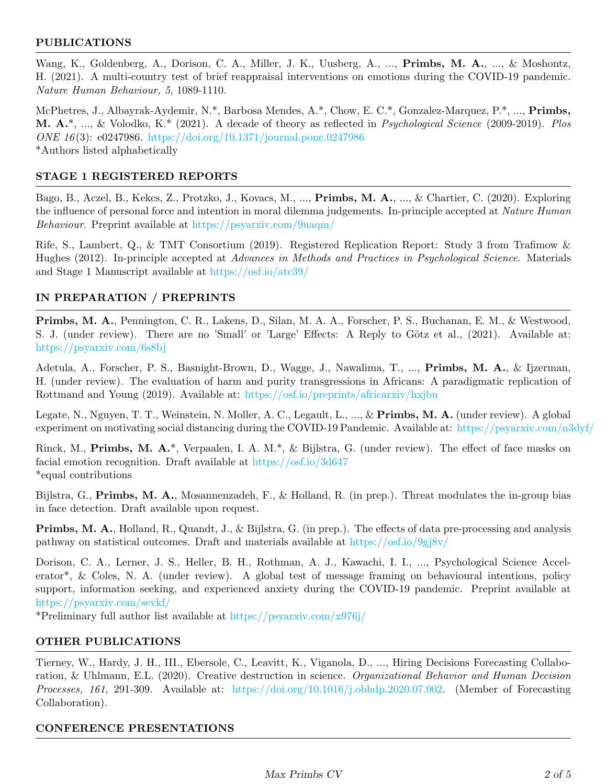# PUBLICATIONS

Wang, K., Goldenberg, A., Dorison, C. A., Miller, J. K., Uusberg, A., ..., **Primbs, M. A.**, ..., & Moshontz, H. (2021). A multi-country test of brief reappraisal interventions on emotions during the COVID-19 pandemic. Nature Human Behaviour, 5, 1089-1110.

McPhetres, J., Albayrak-Aydemir, N.\*, Barbosa Mendes, A.\*, Chow, E. C.\*, Gonzalez-Marquez, P.\*, ..., Primbs, M. A.\*, ..., & Volodko, K.\* (2021). A decade of theory as reflected in Psychological Science (2009-2019). Plos ONE 16 (3): e0247986. <https://doi.org/10.1371/journal.pone.0247986> \*Authors listed alphabetically

# STAGE 1 REGISTERED REPORTS

Bago, B., Aczel, B., Kekcs, Z., Protzko, J., Kovacs, M., ..., Primbs, M. A., ..., & Chartier, C. (2020). Exploring the influence of personal force and intention in moral dilemma judgements. In-principle accepted at Nature Human Behaviour. Preprint available at <https://psyarxiv.com/9uaqm/>

Rife, S., Lambert, Q., & TMT Consortium (2019). Registered Replication Report: Study 3 from Trafimow & Hughes (2012). In-principle accepted at Advances in Methods and Practices in Psychological Science. Materials and Stage 1 Manuscript available at <https://osf.io/atc39/>

# IN PREPARATION / PREPRINTS

Primbs, M. A., Pennington, C. R., Lakens, D., Silan, M. A. A., Forscher, P. S., Buchanan, E. M., & Westwood, S. J. (under review). There are no 'Small' or 'Large' Effects: A Reply to Götz et al., (2021). Available at: <https://psyarxiv.com/6s8bj>

Adetula, A., Forscher, P. S., Basnight-Brown, D., Wagge, J., Nawalima, T., ..., Primbs, M. A., & Ijzerman, H. (under review). The evaluation of harm and purity transgressions in Africans: A paradigmatic replication of Rottmand and Young (2019). Available at: <https://osf.io/preprints/africarxiv/hxjbu>

Legate, N., Nguyen, T. T., Weinstein, N. Moller, A. C., Legault, L., ..., & Primbs, M. A. (under review). A global experiment on motivating social distancing during the COVID-19 Pandemic. Available at: <https://psyarxiv.com/n3dyf/>

Rinck, M., Primbs, M. A.\*, Verpaalen, I. A. M.\*, & Bijlstra, G. (under review). The effect of face masks on facial emotion recognition. Draft available at [https://osf.io/3d647](https://osf.io/3d647/?view_only=f50f92d6437a4f9fb9011dfdbdc78921) \*equal contributions

Bijlstra, G., Primbs, M. A., Mosannenzadeh, F., & Holland, R. (in prep.). Threat modulates the in-group bias in face detection. Draft available upon request.

Primbs, M. A., Holland, R., Quandt, J., & Bijlstra, G. (in prep.). The effects of data pre-processing and analysis pathway on statistical outcomes. Draft and materials available at [https://osf.io/9gj8v/](https://osf.io/9gj8v/?view_only=9a998522319c4a38ba5dc302815a04fe)

Dorison, C. A., Lerner, J. S., Heller, B. H., Rothman, A. J., Kawachi, I. I., ..., Psychological Science Accelerator\*, & Coles, N. A. (under review). A global test of message framing on behavioural intentions, policy support, information seeking, and experienced anxiety during the COVID-19 pandemic. Preprint available at <https://psyarxiv.com/sevkf/>

\*Preliminary full author list available at <https://psyarxiv.com/x976j/>

# OTHER PUBLICATIONS

Tierney, W., Hardy, J. H., III., Ebersole, C., Leavitt, K., Viganola, D., ..., Hiring Decisions Forecasting Collaboration, & Uhlmann, E.L. (2020). Creative destruction in science. Organizational Behavior and Human Decision Processes, 161, 291-309. Available at: [https://doi.org/10.1016/j.obhdp.2020.07.002.](https://doi.org/10.1016/j.obhdp.2020.07.002) (Member of Forecasting Collaboration).

#### CONFERENCE PRESENTATIONS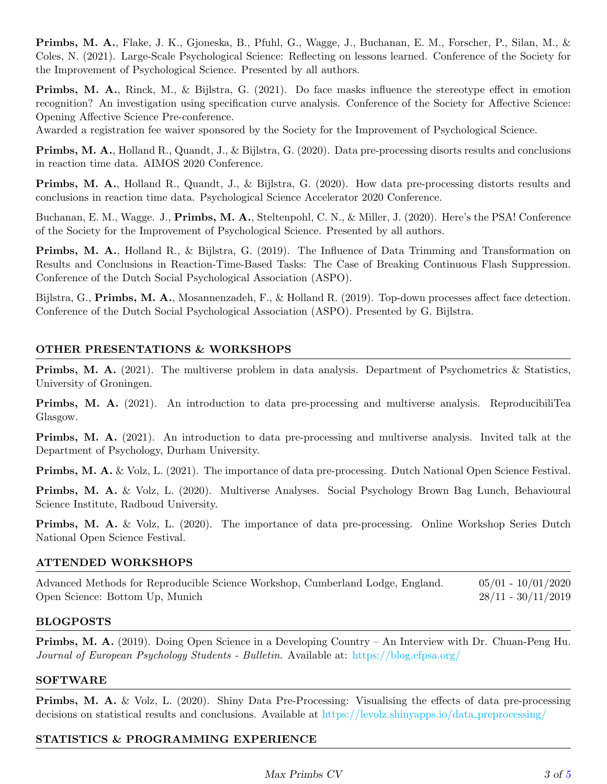Primbs, M. A., Flake, J. K., Gjoneska, B., Pfuhl, G., Wagge, J., Buchanan, E. M., Forscher, P., Silan, M., & Coles, N. (2021). Large-Scale Psychological Science: Reflecting on lessons learned. Conference of the Society for the Improvement of Psychological Science. Presented by all authors.

Primbs, M. A., Rinck, M., & Bijlstra, G. (2021). Do face masks influence the stereotype effect in emotion recognition? An investigation using specification curve analysis. Conference of the Society for Affective Science: Opening Affective Science Pre-conference.

Awarded a registration fee waiver sponsored by the Society for the Improvement of Psychological Science.

Primbs, M. A., Holland R., Quandt, J., & Bijlstra, G. (2020). Data pre-processing disorts results and conclusions in reaction time data. AIMOS 2020 Conference.

Primbs, M. A., Holland R., Quandt, J., & Bijlstra, G. (2020). How data pre-processing distorts results and conclusions in reaction time data. Psychological Science Accelerator 2020 Conference.

Buchanan, E. M., Wagge. J., Primbs, M. A., Steltenpohl, C. N., & Miller, J. (2020). Here's the PSA! Conference of the Society for the Improvement of Psychological Science. Presented by all authors.

Primbs, M. A., Holland R., & Bijlstra, G. (2019). The Influence of Data Trimming and Transformation on Results and Conclusions in Reaction-Time-Based Tasks: The Case of Breaking Continuous Flash Suppression. Conference of the Dutch Social Psychological Association (ASPO).

Bijlstra, G., Primbs, M. A., Mosannenzadeh, F., & Holland R. (2019). Top-down processes affect face detection. Conference of the Dutch Social Psychological Association (ASPO). Presented by G. Bijlstra.

#### OTHER PRESENTATIONS & WORKSHOPS

Primbs, M. A. (2021). The multiverse problem in data analysis. Department of Psychometrics & Statistics, University of Groningen.

Primbs, M. A. (2021). An introduction to data pre-processing and multiverse analysis. ReproducibiliTea Glasgow.

Primbs, M. A. (2021). An introduction to data pre-processing and multiverse analysis. Invited talk at the Department of Psychology, Durham University.

Primbs, M. A. & Volz, L. (2021). The importance of data pre-processing. Dutch National Open Science Festival.

Primbs, M. A. & Volz, L. (2020). Multiverse Analyses. Social Psychology Brown Bag Lunch, Behavioural Science Institute, Radboud University.

Primbs, M. A. & Volz, L. (2020). The importance of data pre-processing. Online Workshop Series Dutch National Open Science Festival.

#### ATTENDED WORKSHOPS

Advanced Methods for Reproducible Science Workshop, Cumberland Lodge, England. 05/01 - 10/01/2020 Open Science: Bottom Up, Munich 28/11 - 30/11/2019

#### BLOGPOSTS

Primbs, M. A. (2019). Doing Open Science in a Developing Country – An Interview with Dr. Chuan-Peng Hu. Journal of European Psychology Students - Bulletin. Available at: <https://blog.efpsa.org/>

#### **SOFTWARE**

Primbs, M. A. & Volz, L. (2020). Shiny Data Pre-Processing: Visualising the effects of data pre-processing decisions on statistical results and conclusions. Available at [https://levolz.shinyapps.io/data](https://levolz.shinyapps.io/data_pre-processing/) preprocessing/

#### STATISTICS & PROGRAMMING EXPERIENCE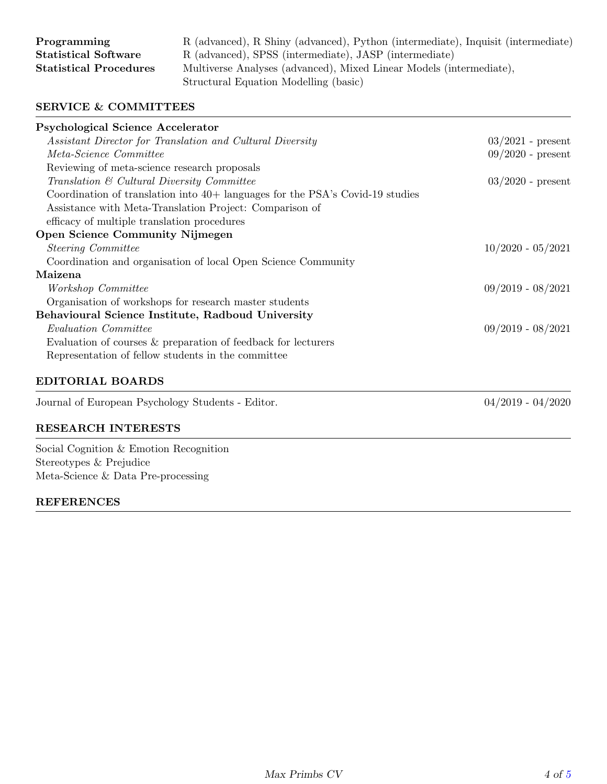| Programming                   |  |
|-------------------------------|--|
| <b>Statistical Software</b>   |  |
| <b>Statistical Procedures</b> |  |

R (advanced), R Shiny (advanced), Python (intermediate), Inquisit (intermediate) R (advanced), SPSS (intermediate), JASP (intermediate) Multiverse Analyses (advanced), Mixed Linear Models (intermediate), Structural Equation Modelling (basic)

#### SERVICE & COMMITTEES

| <b>Psychological Science Accelerator</b>                                        |                     |
|---------------------------------------------------------------------------------|---------------------|
| Assistant Director for Translation and Cultural Diversity                       | $03/2021$ - present |
| Meta-Science Committee                                                          | $09/2020$ - present |
| Reviewing of meta-science research proposals                                    |                     |
| Translation & Cultural Diversity Committee                                      | $03/2020$ - present |
| Coordination of translation into $40+$ languages for the PSA's Covid-19 studies |                     |
| Assistance with Meta-Translation Project: Comparison of                         |                     |
| efficacy of multiple translation procedures                                     |                     |
| Open Science Community Nijmegen                                                 |                     |
| <i>Steering Committee</i>                                                       | $10/2020 - 05/2021$ |
| Coordination and organisation of local Open Science Community                   |                     |
| Maizena                                                                         |                     |
| Workshop Committee                                                              | $09/2019 - 08/2021$ |
| Organisation of workshops for research master students                          |                     |
| Behavioural Science Institute, Radboud University                               |                     |
| <i>Evaluation Committee</i>                                                     | $09/2019 - 08/2021$ |
| Evaluation of courses & preparation of feedback for lecturers                   |                     |
| Representation of fellow students in the committee                              |                     |
| <b>EDITORIAL BOARDS</b>                                                         |                     |
| Journal of European Psychology Students - Editor.                               | $04/2019 - 04/2020$ |

#### RESEARCH INTERESTS

Social Cognition & Emotion Recognition Stereotypes & Prejudice Meta-Science & Data Pre-processing

#### REFERENCES